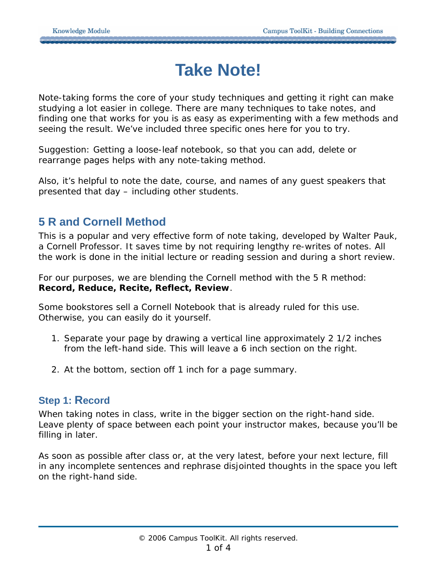# **Take Note!**

Note-taking forms the core of your study techniques and getting it right can make studying a lot easier in college. There are many techniques to take notes, and finding one that works for you is as easy as experimenting with a few methods and seeing the result. We've included three specific ones here for you to try.

Suggestion: Getting a loose-leaf notebook, so that you can add, delete or rearrange pages helps with any note-taking method.

Also, it's helpful to note the date, course, and names of any guest speakers that presented that day – including other students.

## **5 R and Cornell Method**

This is a popular and very effective form of note taking, developed by Walter Pauk, a Cornell Professor. It saves time by not requiring lengthy re-writes of notes. All the work is done in the initial lecture or reading session and during a short review.

For our purposes, we are blending the Cornell method with the 5 R method: **Record, Reduce, Recite, Reflect, Review**.

Some bookstores sell a Cornell Notebook that is already ruled for this use. Otherwise, you can easily do it yourself.

- 1. Separate your page by drawing a vertical line approximately 2 1/2 inches from the left-hand side. This will leave a 6 inch section on the right.
- 2. At the bottom, section off 1 inch for a page summary.

#### **Step 1: Record**

When taking notes in class, write in the bigger section on the right-hand side. Leave plenty of space between each point your instructor makes, because you'll be filling in later.

As soon as possible after class or, at the very latest, before your next lecture, fill in any incomplete sentences and rephrase disjointed thoughts in the space you left on the right-hand side.